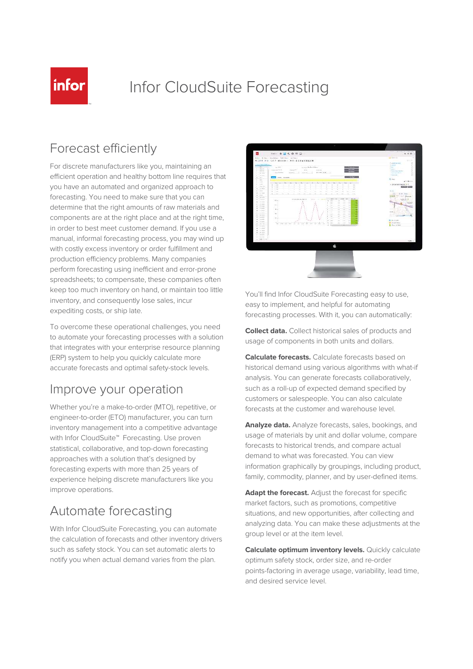

# Infor CloudSuite Forecasting

#### Forecast efficiently

For discrete manufacturers like you, maintaining an efficient operation and healthy bottom line requires that you have an automated and organized approach to forecasting. You need to make sure that you can determine that the right amounts of raw materials and components are at the right place and at the right time, in order to best meet customer demand. If you use a manual, informal forecasting process, you may wind up with costly excess inventory or order fulfillment and production efficiency problems. Many companies perform forecasting using inefficient and error-prone spreadsheets; to compensate, these companies often keep too much inventory on hand, or maintain too little inventory, and consequently lose sales, incur expediting costs, or ship late.

To overcome these operational challenges, you need to automate your forecasting processes with a solution that integrates with your enterprise resource planning (ERP) system to help you quickly calculate more accurate forecasts and optimal safety-stock levels.

#### Improve your operation

Whether you're a make-to-order (MTO), repetitive, or engineer-to-order (ETO) manufacturer, you can turn inventory management into a competitive advantage with Infor CloudSuite™ Forecasting. Use proven statistical, collaborative, and top-down forecasting approaches with a solution that's designed by forecasting experts with more than 25 years of experience helping discrete manufacturers like you improve operations.

### Automate forecasting

With Infor CloudSuite Forecasting, you can automate the calculation of forecasts and other inventory drivers such as safety stock. You can set automatic alerts to notify you when actual demand varies from the plan.



You'll find Infor CloudSuite Forecasting easy to use, easy to implement, and helpful for automating forecasting processes. With it, you can automatically:

**Collect data.** Collect historical sales of products and usage of components in both units and dollars.

**Calculate forecasts.** Calculate forecasts based on historical demand using various algorithms with what-if analysis. You can generate forecasts collaboratively, such as a roll-up of expected demand specified by customers or salespeople. You can also calculate forecasts at the customer and warehouse level.

**Analyze data.** Analyze forecasts, sales, bookings, and usage of materials by unit and dollar volume, compare forecasts to historical trends, and compare actual demand to what was forecasted. You can view information graphically by groupings, including product, family, commodity, planner, and by user-defined items.

Adapt the forecast. Adjust the forecast for specific market factors, such as promotions, competitive situations, and new opportunities, after collecting and analyzing data. You can make these adjustments at the group level or at the item level.

**Calculate optimum inventory levels.** Quickly calculate optimum safety stock, order size, and re-order points-factoring in average usage, variability, lead time, and desired service level.